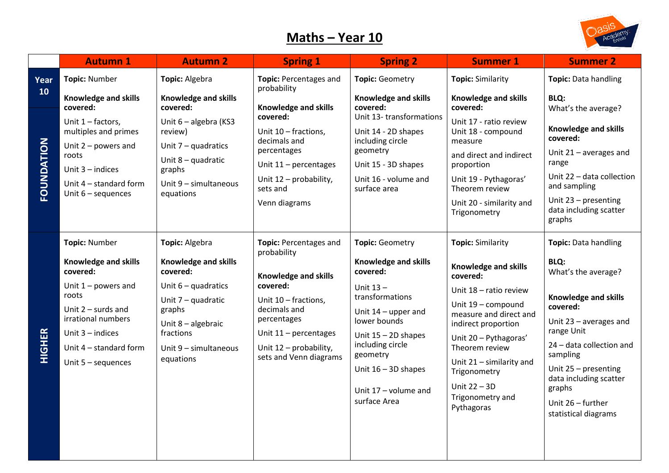## **Maths – Year 10**



|                                 | <b>Autumn 1</b>                                                                                                                                                                                                         | <b>Autumn 2</b>                                                                                                                                                                      | <b>Spring 1</b>                                                                                                                                                                                                        | <b>Spring 2</b>                                                                                                                                                                                                                                                        | <b>Summer 1</b>                                                                                                                                                                                                                                                                                            | <b>Summer 2</b>                                                                                                                                                                                                                                                                      |
|---------------------------------|-------------------------------------------------------------------------------------------------------------------------------------------------------------------------------------------------------------------------|--------------------------------------------------------------------------------------------------------------------------------------------------------------------------------------|------------------------------------------------------------------------------------------------------------------------------------------------------------------------------------------------------------------------|------------------------------------------------------------------------------------------------------------------------------------------------------------------------------------------------------------------------------------------------------------------------|------------------------------------------------------------------------------------------------------------------------------------------------------------------------------------------------------------------------------------------------------------------------------------------------------------|--------------------------------------------------------------------------------------------------------------------------------------------------------------------------------------------------------------------------------------------------------------------------------------|
| Year<br>10<br><b>FOUNDATION</b> | <b>Topic: Number</b>                                                                                                                                                                                                    | Topic: Algebra                                                                                                                                                                       | Topic: Percentages and<br>probability                                                                                                                                                                                  | <b>Topic: Geometry</b>                                                                                                                                                                                                                                                 | <b>Topic: Similarity</b>                                                                                                                                                                                                                                                                                   | Topic: Data handling                                                                                                                                                                                                                                                                 |
|                                 | Knowledge and skills<br>covered:                                                                                                                                                                                        | Knowledge and skills<br>covered:                                                                                                                                                     | Knowledge and skills                                                                                                                                                                                                   | Knowledge and skills<br>covered:                                                                                                                                                                                                                                       | Knowledge and skills<br>covered:                                                                                                                                                                                                                                                                           | <b>BLQ:</b><br>What's the average?                                                                                                                                                                                                                                                   |
|                                 | Unit $1$ – factors,<br>multiples and primes<br>Unit $2$ – powers and<br>roots<br>Unit $3$ – indices                                                                                                                     | Unit 6 - algebra (KS3<br>review)<br>Unit $7 -$ quadratics<br>Unit $8 -$ quadratic<br>graphs                                                                                          | covered:<br>Unit 10 - fractions,<br>decimals and<br>percentages<br>Unit $11$ – percentages<br>Unit 12 - probability,                                                                                                   | Unit 13-transformations<br>Unit 14 - 2D shapes<br>including circle<br>geometry<br>Unit 15 - 3D shapes<br>Unit 16 - volume and                                                                                                                                          | Unit 17 - ratio review<br>Unit 18 - compound<br>measure<br>and direct and indirect<br>proportion<br>Unit 19 - Pythagoras'                                                                                                                                                                                  | Knowledge and skills<br>covered:<br>Unit $21$ – averages and<br>range<br>Unit 22 - data collection                                                                                                                                                                                   |
|                                 | Unit 4 - standard form<br>Unit 6 - sequences                                                                                                                                                                            | Unit 9 - simultaneous<br>equations                                                                                                                                                   | sets and<br>Venn diagrams                                                                                                                                                                                              | surface area                                                                                                                                                                                                                                                           | Theorem review<br>Unit 20 - similarity and<br>Trigonometry                                                                                                                                                                                                                                                 | and sampling<br>Unit $23$ – presenting<br>data including scatter<br>graphs                                                                                                                                                                                                           |
| <b>HIGHER</b>                   | <b>Topic: Number</b><br><b>Knowledge and skills</b><br>covered:<br>Unit $1$ – powers and<br>roots<br>Unit $2$ – surds and<br>irrational numbers<br>Unit $3$ – indices<br>Unit 4 - standard form<br>Unit $5 -$ sequences | Topic: Algebra<br>Knowledge and skills<br>covered:<br>Unit $6 -$ quadratics<br>Unit 7 - quadratic<br>graphs<br>Unit 8 - algebraic<br>fractions<br>Unit 9 - simultaneous<br>equations | Topic: Percentages and<br>probability<br><b>Knowledge and skills</b><br>covered:<br>Unit 10 - fractions,<br>decimals and<br>percentages<br>Unit $11$ – percentages<br>Unit 12 - probability,<br>sets and Venn diagrams | <b>Topic: Geometry</b><br><b>Knowledge and skills</b><br>covered:<br>Unit $13 -$<br>transformations<br>Unit $14$ – upper and<br>lower bounds<br>Unit $15 - 2D$ shapes<br>including circle<br>geometry<br>Unit $16 - 3D$ shapes<br>Unit 17 - volume and<br>surface Area | <b>Topic: Similarity</b><br>Knowledge and skills<br>covered:<br>Unit 18 - ratio review<br>Unit 19 - compound<br>measure and direct and<br>indirect proportion<br>Unit 20 - Pythagoras'<br>Theorem review<br>Unit $21 -$ similarity and<br>Trigonometry<br>Unit $22 - 3D$<br>Trigonometry and<br>Pythagoras | Topic: Data handling<br>BLQ:<br>What's the average?<br>Knowledge and skills<br>covered:<br>Unit 23 - averages and<br>range Unit<br>24 - data collection and<br>sampling<br>Unit $25$ – presenting<br>data including scatter<br>graphs<br>Unit $26$ – further<br>statistical diagrams |